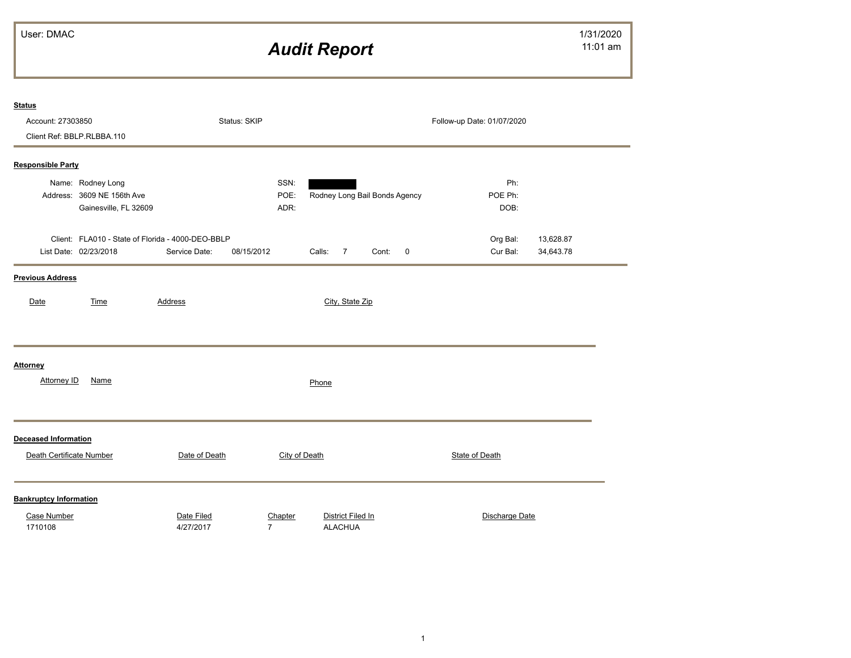## *Audit Report*

| <b>Status</b>                 |                                                   |                |                |               |          |                   |                               |                         |                            |           |  |
|-------------------------------|---------------------------------------------------|----------------|----------------|---------------|----------|-------------------|-------------------------------|-------------------------|----------------------------|-----------|--|
| Account: 27303850             |                                                   |                | Status: SKIP   |               |          |                   |                               |                         | Follow-up Date: 01/07/2020 |           |  |
|                               | Client Ref: BBLP.RLBBA.110                        |                |                |               |          |                   |                               |                         |                            |           |  |
| <b>Responsible Party</b>      |                                                   |                |                |               |          |                   |                               |                         |                            |           |  |
|                               |                                                   |                |                |               |          |                   |                               |                         |                            |           |  |
|                               | Name: Rodney Long<br>Address: 3609 NE 156th Ave   |                |                | SSN:<br>POE:  |          |                   | Rodney Long Bail Bonds Agency |                         | Ph:<br>POE Ph:             |           |  |
|                               | Gainesville, FL 32609                             |                |                | ADR:          |          |                   |                               |                         | DOB:                       |           |  |
|                               |                                                   |                |                |               |          |                   |                               |                         |                            |           |  |
|                               | Client: FLA010 - State of Florida - 4000-DEO-BBLP |                |                |               |          |                   |                               |                         | Org Bal:                   | 13,628.87 |  |
|                               | List Date: 02/23/2018                             | Service Date:  | 08/15/2012     |               | Calls: 7 |                   | Cont:                         | $\overline{\mathbf{0}}$ | Cur Bal:                   | 34,643.78 |  |
|                               |                                                   |                |                |               |          |                   |                               |                         |                            |           |  |
| <b>Previous Address</b>       |                                                   |                |                |               |          |                   |                               |                         |                            |           |  |
| Date                          | Time                                              | <b>Address</b> |                |               |          | City, State Zip   |                               |                         |                            |           |  |
|                               |                                                   |                |                |               |          |                   |                               |                         |                            |           |  |
|                               |                                                   |                |                |               |          |                   |                               |                         |                            |           |  |
|                               |                                                   |                |                |               |          |                   |                               |                         |                            |           |  |
|                               |                                                   |                |                |               |          |                   |                               |                         |                            |           |  |
| Attorney                      |                                                   |                |                |               |          |                   |                               |                         |                            |           |  |
| Attorney ID                   | Name                                              |                |                |               | Phone    |                   |                               |                         |                            |           |  |
|                               |                                                   |                |                |               |          |                   |                               |                         |                            |           |  |
|                               |                                                   |                |                |               |          |                   |                               |                         |                            |           |  |
| <b>Deceased Information</b>   |                                                   |                |                |               |          |                   |                               |                         |                            |           |  |
|                               |                                                   |                |                |               |          |                   |                               |                         |                            |           |  |
| Death Certificate Number      |                                                   | Date of Death  |                | City of Death |          |                   |                               |                         | <b>State of Death</b>      |           |  |
|                               |                                                   |                |                |               |          |                   |                               |                         |                            |           |  |
| <b>Bankruptcy Information</b> |                                                   |                |                |               |          |                   |                               |                         |                            |           |  |
| Case Number                   |                                                   | Date Filed     |                | Chapter       |          | District Filed In |                               |                         | Discharge Date             |           |  |
| 1710108                       |                                                   | 4/27/2017      | $\overline{7}$ |               |          | <b>ALACHUA</b>    |                               |                         |                            |           |  |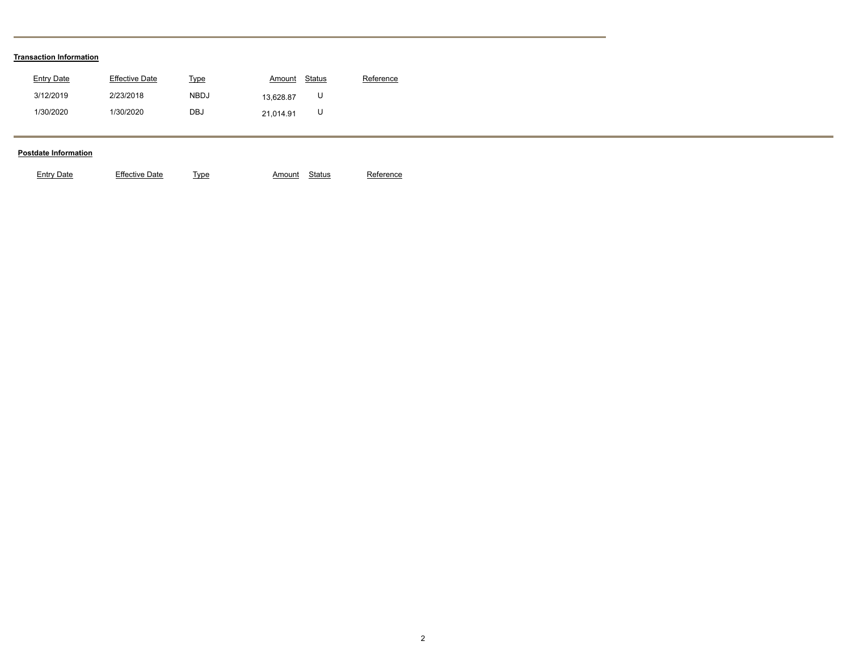## **Transaction Information**

| Entry Date | Effective Date | Type        | Amount    | Status | Reference |
|------------|----------------|-------------|-----------|--------|-----------|
| 3/12/2019  | 2/23/2018      | <b>NBDJ</b> | 13.628.87 |        |           |
| 1/30/2020  | 1/30/2020      | DBJ         | 21.014.91 |        |           |

## **Postdate Information**

| Jate<br>vne | :ntrv | Effective Date |  | Amount | Status |  |
|-------------|-------|----------------|--|--------|--------|--|
|-------------|-------|----------------|--|--------|--------|--|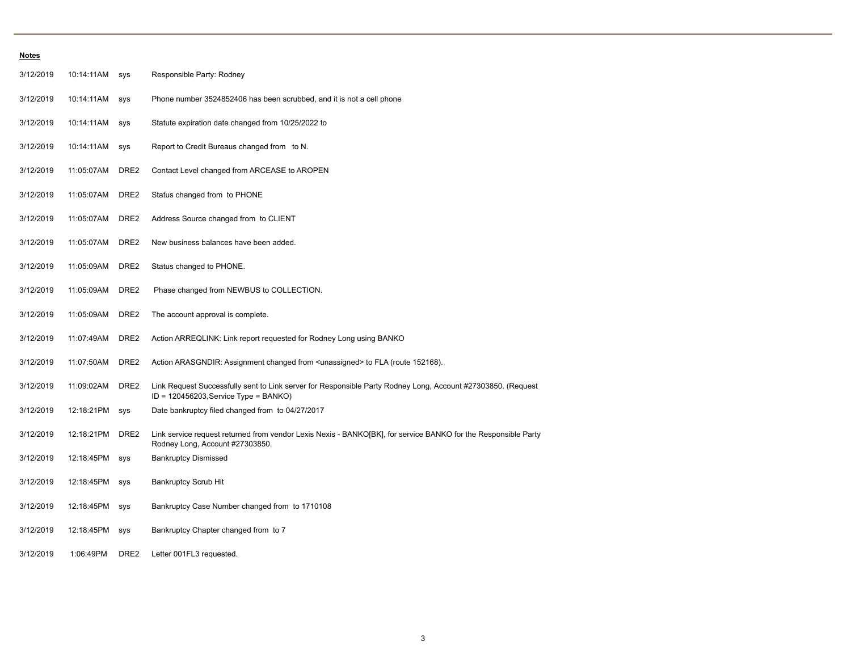| <b>Notes</b> |            |                  |                                                                                                                                                          |
|--------------|------------|------------------|----------------------------------------------------------------------------------------------------------------------------------------------------------|
| 3/12/2019    | 10:14:11AM | sys              | Responsible Party: Rodney                                                                                                                                |
| 3/12/2019    | 10:14:11AM | sys              | Phone number 3524852406 has been scrubbed, and it is not a cell phone                                                                                    |
| 3/12/2019    | 10:14:11AM | sys              | Statute expiration date changed from 10/25/2022 to                                                                                                       |
| 3/12/2019    | 10:14:11AM | sys              | Report to Credit Bureaus changed from to N.                                                                                                              |
| 3/12/2019    | 11:05:07AM | DRE2             | Contact Level changed from ARCEASE to AROPEN                                                                                                             |
| 3/12/2019    | 11:05:07AM | DRE2             | Status changed from to PHONE                                                                                                                             |
| 3/12/2019    | 11:05:07AM | DRE2             | Address Source changed from to CLIENT                                                                                                                    |
| 3/12/2019    | 11:05:07AM | DRE2             | New business balances have been added.                                                                                                                   |
| 3/12/2019    | 11:05:09AM | DRE2             | Status changed to PHONE.                                                                                                                                 |
| 3/12/2019    | 11:05:09AM | DRE <sub>2</sub> | Phase changed from NEWBUS to COLLECTION.                                                                                                                 |
| 3/12/2019    | 11:05:09AM | DRE2             | The account approval is complete.                                                                                                                        |
| 3/12/2019    | 11:07:49AM | DRE2             | Action ARREQLINK: Link report requested for Rodney Long using BANKO                                                                                      |
| 3/12/2019    | 11:07:50AM | DRE2             | Action ARASGNDIR: Assignment changed from <unassigned> to FLA (route 152168).</unassigned>                                                               |
| 3/12/2019    | 11:09:02AM | DRE <sub>2</sub> | Link Request Successfully sent to Link server for Responsible Party Rodney Long, Account #27303850. (Request<br>$ID = 120456203$ , Service Type = BANKO) |
| 3/12/2019    | 12:18:21PM | sys              | Date bankruptcy filed changed from to 04/27/2017                                                                                                         |
| 3/12/2019    | 12:18:21PM | DRE2             | Link service request returned from vendor Lexis Nexis - BANKO[BK], for service BANKO for the Responsible Party<br>Rodney Long, Account #27303850.        |
| 3/12/2019    | 12:18:45PM | sys              | <b>Bankruptcy Dismissed</b>                                                                                                                              |
| 3/12/2019    | 12:18:45PM | sys              | <b>Bankruptcy Scrub Hit</b>                                                                                                                              |
| 3/12/2019    | 12:18:45PM | sys              | Bankruptcy Case Number changed from to 1710108                                                                                                           |
| 3/12/2019    | 12:18:45PM | sys              | Bankruptcy Chapter changed from to 7                                                                                                                     |
| 3/12/2019    | 1:06:49PM  | DRE2             | Letter 001FL3 requested.                                                                                                                                 |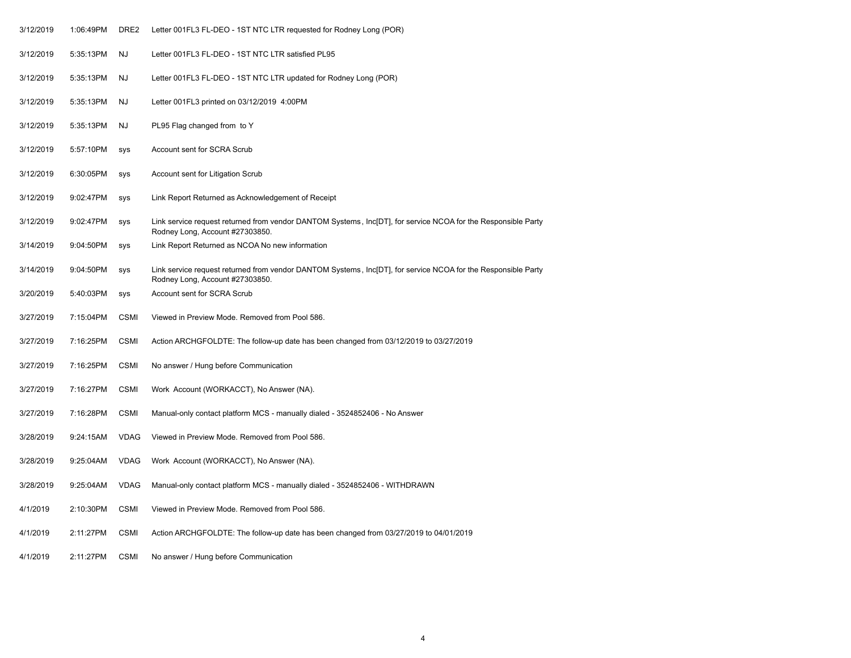| 3/12/2019 | 1:06:49PM | DRE <sub>2</sub> | Letter 001FL3 FL-DEO - 1ST NTC LTR requested for Rodney Long (POR)                                                                               |
|-----------|-----------|------------------|--------------------------------------------------------------------------------------------------------------------------------------------------|
| 3/12/2019 | 5:35:13PM | NJ               | Letter 001FL3 FL-DEO - 1ST NTC LTR satisfied PL95                                                                                                |
| 3/12/2019 | 5:35:13PM | NJ               | Letter 001FL3 FL-DEO - 1ST NTC LTR updated for Rodney Long (POR)                                                                                 |
| 3/12/2019 | 5:35:13PM | <b>NJ</b>        | Letter 001FL3 printed on 03/12/2019 4:00PM                                                                                                       |
| 3/12/2019 | 5:35:13PM | NJ               | PL95 Flag changed from to Y                                                                                                                      |
| 3/12/2019 | 5:57:10PM | <b>SYS</b>       | Account sent for SCRA Scrub                                                                                                                      |
| 3/12/2019 | 6:30:05PM | sys              | Account sent for Litigation Scrub                                                                                                                |
| 3/12/2019 | 9:02:47PM | sys              | Link Report Returned as Acknowledgement of Receipt                                                                                               |
| 3/12/2019 | 9:02:47PM | sys              | Link service request returned from vendor DANTOM Systems, Inc[DT], for service NCOA for the Responsible Party<br>Rodney Long, Account #27303850. |
| 3/14/2019 | 9:04:50PM | <b>SYS</b>       | Link Report Returned as NCOA No new information                                                                                                  |
| 3/14/2019 | 9:04:50PM | SVS              | Link service request returned from vendor DANTOM Systems, Inc[DT], for service NCOA for the Responsible Party<br>Rodney Long, Account #27303850. |
| 3/20/2019 | 5:40:03PM | <b>SYS</b>       | Account sent for SCRA Scrub                                                                                                                      |
| 3/27/2019 | 7:15:04PM | <b>CSMI</b>      | Viewed in Preview Mode. Removed from Pool 586.                                                                                                   |
| 3/27/2019 | 7:16:25PM | <b>CSMI</b>      | Action ARCHGFOLDTE: The follow-up date has been changed from 03/12/2019 to 03/27/2019                                                            |
| 3/27/2019 | 7:16:25PM | <b>CSMI</b>      | No answer / Hung before Communication                                                                                                            |
| 3/27/2019 | 7:16:27PM | <b>CSMI</b>      | Work Account (WORKACCT), No Answer (NA).                                                                                                         |
| 3/27/2019 | 7:16:28PM | <b>CSMI</b>      | Manual-only contact platform MCS - manually dialed - 3524852406 - No Answer                                                                      |
| 3/28/2019 | 9:24:15AM | <b>VDAG</b>      | Viewed in Preview Mode. Removed from Pool 586.                                                                                                   |
| 3/28/2019 | 9:25:04AM | <b>VDAG</b>      | Work Account (WORKACCT), No Answer (NA).                                                                                                         |
| 3/28/2019 | 9:25:04AM | <b>VDAG</b>      | Manual-only contact platform MCS - manually dialed - 3524852406 - WITHDRAWN                                                                      |
| 4/1/2019  | 2:10:30PM | <b>CSMI</b>      | Viewed in Preview Mode. Removed from Pool 586.                                                                                                   |
| 4/1/2019  | 2:11:27PM | <b>CSMI</b>      | Action ARCHGFOLDTE: The follow-up date has been changed from 03/27/2019 to 04/01/2019                                                            |
| 4/1/2019  | 2:11:27PM | <b>CSMI</b>      | No answer / Hung before Communication                                                                                                            |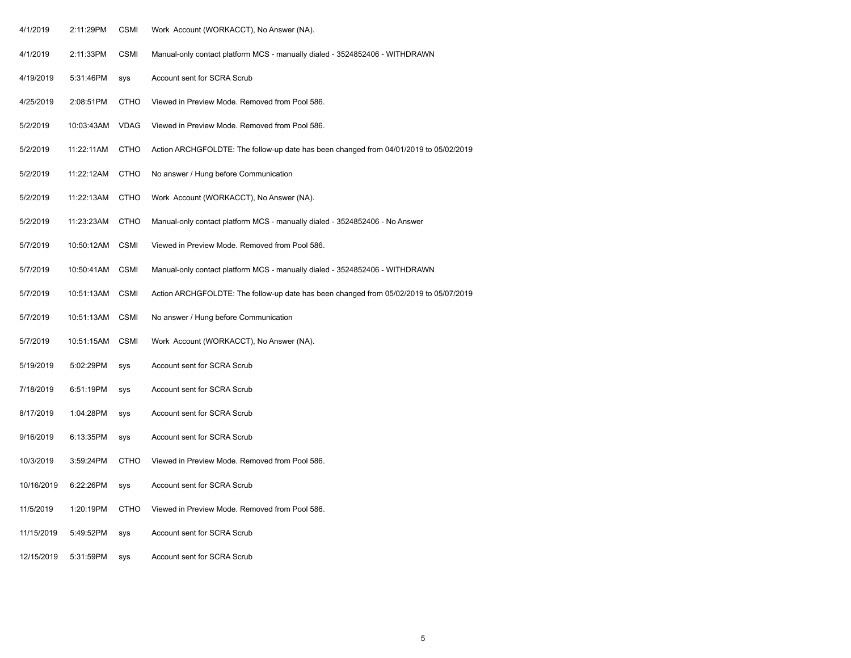| 4/1/2019   | 2:11:29PM  | CSMI        | Work Account (WORKACCT), No Answer (NA).                                              |
|------------|------------|-------------|---------------------------------------------------------------------------------------|
| 4/1/2019   | 2:11:33PM  | <b>CSMI</b> | Manual-only contact platform MCS - manually dialed - 3524852406 - WITHDRAWN           |
| 4/19/2019  | 5:31:46PM  | sys         | Account sent for SCRA Scrub                                                           |
| 4/25/2019  | 2:08:51PM  | CTHO        | Viewed in Preview Mode. Removed from Pool 586.                                        |
| 5/2/2019   | 10:03:43AM | <b>VDAG</b> | Viewed in Preview Mode. Removed from Pool 586.                                        |
| 5/2/2019   | 11:22:11AM | <b>CTHO</b> | Action ARCHGFOLDTE: The follow-up date has been changed from 04/01/2019 to 05/02/2019 |
| 5/2/2019   | 11:22:12AM | <b>CTHO</b> | No answer / Hung before Communication                                                 |
| 5/2/2019   | 11:22:13AM | <b>CTHO</b> | Work Account (WORKACCT), No Answer (NA).                                              |
| 5/2/2019   | 11:23:23AM | <b>CTHO</b> | Manual-only contact platform MCS - manually dialed - 3524852406 - No Answer           |
| 5/7/2019   | 10:50:12AM | <b>CSMI</b> | Viewed in Preview Mode. Removed from Pool 586.                                        |
| 5/7/2019   | 10:50:41AM | <b>CSMI</b> | Manual-only contact platform MCS - manually dialed - 3524852406 - WITHDRAWN           |
| 5/7/2019   | 10:51:13AM | <b>CSMI</b> | Action ARCHGFOLDTE: The follow-up date has been changed from 05/02/2019 to 05/07/2019 |
| 5/7/2019   | 10:51:13AM | <b>CSMI</b> | No answer / Hung before Communication                                                 |
| 5/7/2019   | 10:51:15AM | <b>CSMI</b> | Work Account (WORKACCT), No Answer (NA).                                              |
| 5/19/2019  | 5:02:29PM  | sys         | Account sent for SCRA Scrub                                                           |
| 7/18/2019  | 6:51:19PM  | <b>SYS</b>  | Account sent for SCRA Scrub                                                           |
| 8/17/2019  | 1:04:28PM  | sys         | Account sent for SCRA Scrub                                                           |
| 9/16/2019  | 6:13:35PM  | sys         | Account sent for SCRA Scrub                                                           |
| 10/3/2019  | 3:59:24PM  | <b>CTHO</b> | Viewed in Preview Mode. Removed from Pool 586.                                        |
| 10/16/2019 | 6:22:26PM  | <b>SYS</b>  | Account sent for SCRA Scrub                                                           |
| 11/5/2019  | 1:20:19PM  | CTHO        | Viewed in Preview Mode. Removed from Pool 586.                                        |
| 11/15/2019 | 5:49:52PM  | <b>SYS</b>  | Account sent for SCRA Scrub                                                           |
| 12/15/2019 | 5:31:59PM  | <b>SYS</b>  | Account sent for SCRA Scrub                                                           |
|            |            |             |                                                                                       |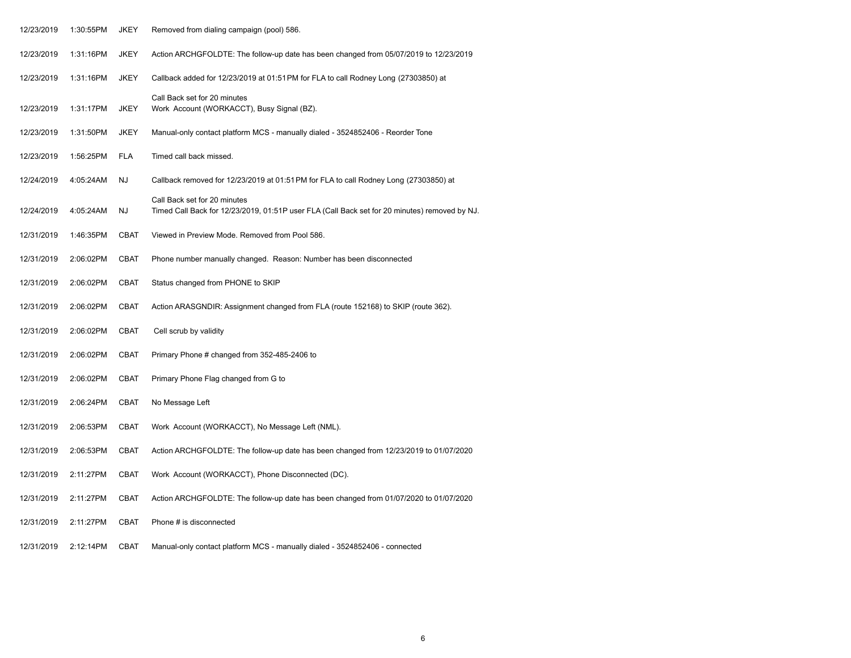| 12/23/2019 | 1:30:55PM | JKEY        | Removed from dialing campaign (pool) 586.                                                                                     |
|------------|-----------|-------------|-------------------------------------------------------------------------------------------------------------------------------|
| 12/23/2019 | 1:31:16PM | <b>JKEY</b> | Action ARCHGFOLDTE: The follow-up date has been changed from 05/07/2019 to 12/23/2019                                         |
| 12/23/2019 | 1:31:16PM | <b>JKEY</b> | Callback added for 12/23/2019 at 01:51 PM for FLA to call Rodney Long (27303850) at                                           |
| 12/23/2019 | 1:31:17PM | <b>JKEY</b> | Call Back set for 20 minutes<br>Work Account (WORKACCT), Busy Signal (BZ).                                                    |
| 12/23/2019 | 1:31:50PM | <b>JKEY</b> | Manual-only contact platform MCS - manually dialed - 3524852406 - Reorder Tone                                                |
| 12/23/2019 | 1:56:25PM | <b>FLA</b>  | Timed call back missed.                                                                                                       |
| 12/24/2019 | 4:05:24AM | <b>NJ</b>   | Callback removed for 12/23/2019 at 01:51 PM for FLA to call Rodney Long (27303850) at                                         |
| 12/24/2019 | 4:05:24AM | NJ          | Call Back set for 20 minutes<br>Timed Call Back for 12/23/2019, 01:51P user FLA (Call Back set for 20 minutes) removed by NJ. |
| 12/31/2019 | 1:46:35PM | <b>CBAT</b> | Viewed in Preview Mode. Removed from Pool 586.                                                                                |
| 12/31/2019 | 2:06:02PM | CBAT        | Phone number manually changed. Reason: Number has been disconnected                                                           |
| 12/31/2019 | 2:06:02PM | <b>CBAT</b> | Status changed from PHONE to SKIP                                                                                             |
| 12/31/2019 | 2:06:02PM | CBAT        | Action ARASGNDIR: Assignment changed from FLA (route 152168) to SKIP (route 362).                                             |
| 12/31/2019 | 2:06:02PM | <b>CBAT</b> | Cell scrub by validity                                                                                                        |
| 12/31/2019 | 2:06:02PM | <b>CBAT</b> | Primary Phone # changed from 352-485-2406 to                                                                                  |
| 12/31/2019 | 2:06:02PM | <b>CBAT</b> | Primary Phone Flag changed from G to                                                                                          |
| 12/31/2019 | 2:06:24PM | <b>CBAT</b> | No Message Left                                                                                                               |
| 12/31/2019 | 2:06:53PM | <b>CBAT</b> | Work Account (WORKACCT), No Message Left (NML).                                                                               |
| 12/31/2019 | 2:06:53PM | <b>CBAT</b> | Action ARCHGFOLDTE: The follow-up date has been changed from 12/23/2019 to 01/07/2020                                         |
| 12/31/2019 | 2:11:27PM | <b>CBAT</b> | Work Account (WORKACCT), Phone Disconnected (DC).                                                                             |
| 12/31/2019 | 2:11:27PM | <b>CBAT</b> | Action ARCHGFOLDTE: The follow-up date has been changed from 01/07/2020 to 01/07/2020                                         |
| 12/31/2019 | 2:11:27PM | <b>CBAT</b> | Phone # is disconnected                                                                                                       |
| 12/31/2019 | 2:12:14PM | <b>CBAT</b> | Manual-only contact platform MCS - manually dialed - 3524852406 - connected                                                   |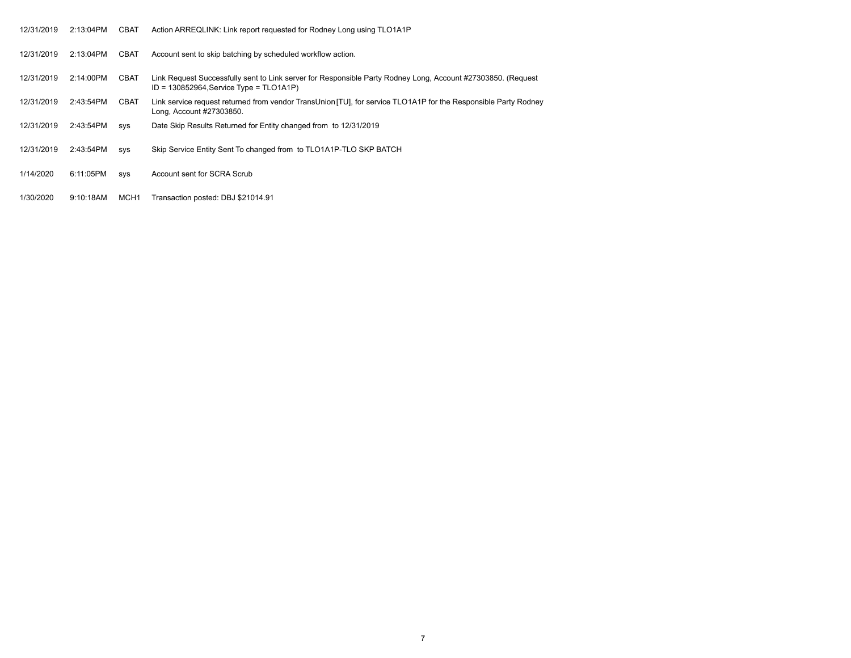| 12/31/2019 | 2:13:04PM    | <b>CBAT</b> | Action ARREQLINK: Link report requested for Rodney Long using TLO1A1P                                                                                         |
|------------|--------------|-------------|---------------------------------------------------------------------------------------------------------------------------------------------------------------|
| 12/31/2019 | $2:13:04$ PM | <b>CBAT</b> | Account sent to skip batching by scheduled workflow action.                                                                                                   |
| 12/31/2019 | 2:14:00PM    | <b>CBAT</b> | Link Request Successfully sent to Link server for Responsible Party Rodney Long, Account #27303850. (Request<br>ID = $130852964$ , Service Type = $TLO1A1P$ ) |
| 12/31/2019 | 2:43:54PM    | <b>CBAT</b> | Link service request returned from vendor TransUnion [TU], for service TLO1A1P for the Responsible Party Rodney<br>Long, Account #27303850.                   |
| 12/31/2019 | 2:43:54PM    | SVS         | Date Skip Results Returned for Entity changed from to 12/31/2019                                                                                              |
| 12/31/2019 | 2:43:54PM    | SVS         | Skip Service Entity Sent To changed from to TLO1A1P-TLO SKP BATCH                                                                                             |
| 1/14/2020  | 6:11:05PM    | SVS         | Account sent for SCRA Scrub                                                                                                                                   |
| 1/30/2020  | 9:10:18AM    | MCH1        | Transaction posted: DBJ \$21014.91                                                                                                                            |